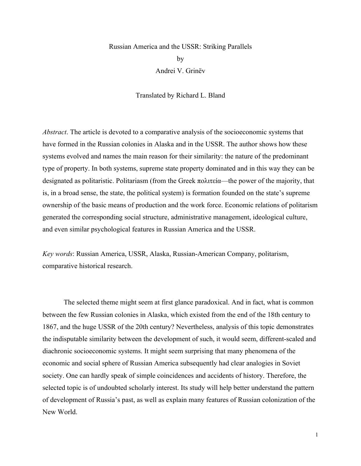# Russian America and the USSR: Striking Parallels by Andrei V. Grinëv

Translated by Richard L. Bland

*Abstract*. The article is devoted to a comparative analysis of the socioeconomic systems that have formed in the Russian colonies in Alaska and in the USSR. The author shows how these systems evolved and names the main reason for their similarity: the nature of the predominant type of property. In both systems, supreme state property dominated and in this way they can be designated as politaristic. Politariasm (from the Greek πολιτεία—the power of the majority, that is, in a broad sense, the state, the political system) is formation founded on the state's supreme ownership of the basic means of production and the work force. Economic relations of politarism generated the corresponding social structure, administrative management, ideological culture, and even similar psychological features in Russian America and the USSR.

*Key words*: Russian America, USSR, Alaska, Russian-American Company, politarism, comparative historical research.

The selected theme might seem at first glance paradoxical. And in fact, what is common between the few Russian colonies in Alaska, which existed from the end of the 18th century to 1867, and the huge USSR of the 20th century? Nevertheless, analysis of this topic demonstrates the indisputable similarity between the development of such, it would seem, different-scaled and diachronic socioeconomic systems. It might seem surprising that many phenomena of the economic and social sphere of Russian America subsequently had clear analogies in Soviet society. One can hardly speak of simple coincidences and accidents of history. Therefore, the selected topic is of undoubted scholarly interest. Its study will help better understand the pattern of development of Russia's past, as well as explain many features of Russian colonization of the New World.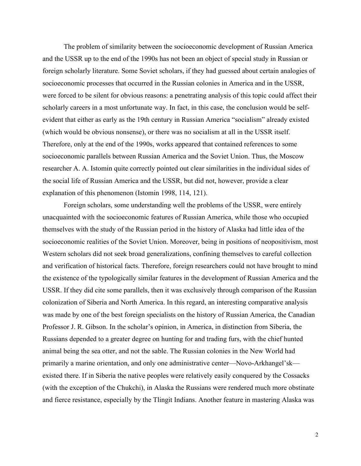The problem of similarity between the socioeconomic development of Russian America and the USSR up to the end of the 1990s has not been an object of special study in Russian or foreign scholarly literature. Some Soviet scholars, if they had guessed about certain analogies of socioeconomic processes that occurred in the Russian colonies in America and in the USSR, were forced to be silent for obvious reasons: a penetrating analysis of this topic could affect their scholarly careers in a most unfortunate way. In fact, in this case, the conclusion would be selfevident that either as early as the 19th century in Russian America "socialism" already existed (which would be obvious nonsense), or there was no socialism at all in the USSR itself. Therefore, only at the end of the 1990s, works appeared that contained references to some socioeconomic parallels between Russian America and the Soviet Union. Thus, the Moscow researcher A. A. Istomin quite correctly pointed out clear similarities in the individual sides of the social life of Russian America and the USSR, but did not, however, provide a clear explanation of this phenomenon (Istomin 1998, 114, 121).

Foreign scholars, some understanding well the problems of the USSR, were entirely unacquainted with the socioeconomic features of Russian America, while those who occupied themselves with the study of the Russian period in the history of Alaska had little idea of the socioeconomic realities of the Soviet Union. Moreover, being in positions of neopositivism, most Western scholars did not seek broad generalizations, confining themselves to careful collection and verification of historical facts. Therefore, foreign researchers could not have brought to mind the existence of the typologically similar features in the development of Russian America and the USSR. If they did cite some parallels, then it was exclusively through comparison of the Russian colonization of Siberia and North America. In this regard, an interesting comparative analysis was made by one of the best foreign specialists on the history of Russian America, the Canadian Professor J. R. Gibson. In the scholar's opinion, in America, in distinction from Siberia, the Russians depended to a greater degree on hunting for and trading furs, with the chief hunted animal being the sea otter, and not the sable. The Russian colonies in the New World had primarily a marine orientation, and only one administrative center—Novo-Arkhangel'sk existed there. If in Siberia the native peoples were relatively easily conquered by the Cossacks (with the exception of the Chukchi), in Alaska the Russians were rendered much more obstinate and fierce resistance, especially by the Tlingit Indians. Another feature in mastering Alaska was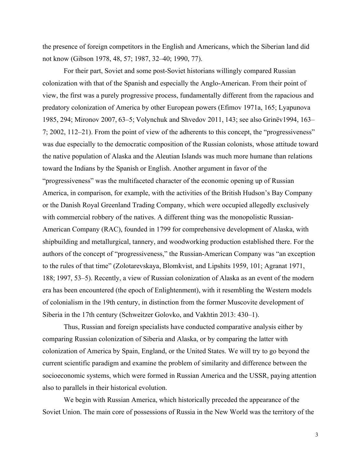the presence of foreign competitors in the English and Americans, which the Siberian land did not know (Gibson 1978, 48, 57; 1987, 32–40; 1990, 77).

For their part, Soviet and some post-Soviet historians willingly compared Russian colonization with that of the Spanish and especially the Anglo-American. From their point of view, the first was a purely progressive process, fundamentally different from the rapacious and predatory colonization of America by other European powers (Efimov 1971a, 165; Lyapunova 1985, 294; Mironov 2007, 63–5; Volynchuk and Shvedov 2011, 143; see also Grinëv1994, 163– 7; 2002, 112–21). From the point of view of the adherents to this concept, the "progressiveness" was due especially to the democratic composition of the Russian colonists, whose attitude toward the native population of Alaska and the Aleutian Islands was much more humane than relations toward the Indians by the Spanish or English. Another argument in favor of the "progressiveness" was the multifaceted character of the economic opening up of Russian America, in comparison, for example, with the activities of the British Hudson's Bay Company or the Danish Royal Greenland Trading Company, which were occupied allegedly exclusively with commercial robbery of the natives. A different thing was the monopolistic Russian-American Company (RAC), founded in 1799 for comprehensive development of Alaska, with shipbuilding and metallurgical, tannery, and woodworking production established there. For the authors of the concept of "progressiveness," the Russian-American Company was "an exception to the rules of that time" (Zolotarevskaya, Blomkvist, and Lipshits 1959, 101; Agranat 1971, 188; 1997, 53–5). Recently, a view of Russian colonization of Alaska as an event of the modern era has been encountered (the epoch of Enlightenment), with it resembling the Western models of colonialism in the 19th century, in distinction from the former Muscovite development of Siberia in the 17th century (Schweitzer Golovko, and Vakhtin 2013: 430–1).

Thus, Russian and foreign specialists have conducted comparative analysis either by comparing Russian colonization of Siberia and Alaska, or by comparing the latter with colonization of America by Spain, England, or the United States. We will try to go beyond the current scientific paradigm and examine the problem of similarity and difference between the socioeconomic systems, which were formed in Russian America and the USSR, paying attention also to parallels in their historical evolution.

We begin with Russian America, which historically preceded the appearance of the Soviet Union. The main core of possessions of Russia in the New World was the territory of the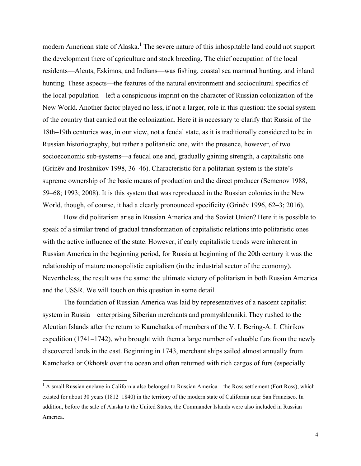modern American state of Alaska.<sup>1</sup> The severe nature of this inhospitable land could not support the development there of agriculture and stock breeding. The chief occupation of the local residents—Aleuts, Eskimos, and Indians—was fishing, coastal sea mammal hunting, and inland hunting. These aspects—the features of the natural environment and sociocultural specifics of the local population—left a conspicuous imprint on the character of Russian colonization of the New World. Another factor played no less, if not a larger, role in this question: the social system of the country that carried out the colonization. Here it is necessary to clarify that Russia of the 18th–19th centuries was, in our view, not a feudal state, as it is traditionally considered to be in Russian historiography, but rather a politaristic one, with the presence, however, of two socioeconomic sub-systems—a feudal one and, gradually gaining strength, a capitalistic one (Grinëv and Iroshnikov 1998, 36–46). Characteristic for a politarian system is the state's supreme ownership of the basic means of production and the direct producer (Semenov 1988, 59–68; 1993; 2008). It is this system that was reproduced in the Russian colonies in the New World, though, of course, it had a clearly pronounced specificity (Grinëv 1996, 62–3; 2016).

How did politarism arise in Russian America and the Soviet Union? Here it is possible to speak of a similar trend of gradual transformation of capitalistic relations into politaristic ones with the active influence of the state. However, if early capitalistic trends were inherent in Russian America in the beginning period, for Russia at beginning of the 20th century it was the relationship of mature monopolistic capitalism (in the industrial sector of the economy). Nevertheless, the result was the same: the ultimate victory of politarism in both Russian America and the USSR. We will touch on this question in some detail.

The foundation of Russian America was laid by representatives of a nascent capitalist system in Russia—enterprising Siberian merchants and promyshlenniki. They rushed to the Aleutian Islands after the return to Kamchatka of members of the V. I. Bering-A. I. Chirikov expedition (1741–1742), who brought with them a large number of valuable furs from the newly discovered lands in the east. Beginning in 1743, merchant ships sailed almost annually from Kamchatka or Okhotsk over the ocean and often returned with rich cargos of furs (especially

<sup>&</sup>lt;sup>1</sup> A small Russian enclave in California also belonged to Russian America—the Ross settlement (Fort Ross), which existed for about 30 years (1812–1840) in the territory of the modern state of California near San Francisco. In addition, before the sale of Alaska to the United States, the Commander Islands were also included in Russian America.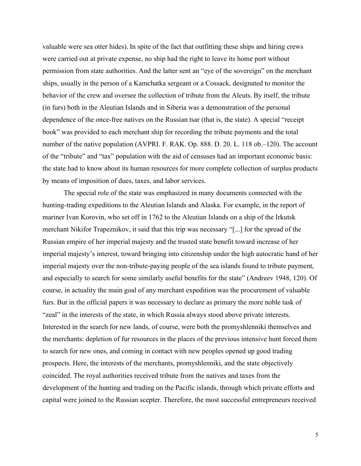valuable were sea otter hides). In spite of the fact that outfitting these ships and hiring crews were carried out at private expense, no ship had the right to leave its home port without permission from state authorities. And the latter sent an "eye of the sovereign" on the merchant ships, usually in the person of a Kamchatka sergeant or a Cossack, designated to monitor the behavior of the crew and oversee the collection of tribute from the Aleuts. By itself, the tribute (in furs) both in the Aleutian Islands and in Siberia was a demonstration of the personal dependence of the once-free natives on the Russian tsar (that is, the state). A special "receipt book" was provided to each merchant ship for recording the tribute payments and the total number of the native population (AVPRI. F. RAK. Op. 888. D. 20. L. 118 ob.–120). The account of the "tribute" and "tax" population with the aid of censuses had an important economic basis: the state had to know about its human resources for more complete collection of surplus products by means of imposition of dues, taxes, and labor services.

The special role of the state was emphasized in many documents connected with the hunting-trading expeditions to the Aleutian Islands and Alaska. For example, in the report of mariner Ivan Korovin, who set off in 1762 to the Aleutian Islands on a ship of the Irkutsk merchant Nikifor Trapeznikov, it said that this trip was necessary "[...] for the spread of the Russian empire of her imperial majesty and the trusted state benefit toward increase of her imperial majesty's interest, toward bringing into citizenship under the high autocratic hand of her imperial majesty over the non-tribute-paying people of the sea islands found to tribute payment, and especially to search for some similarly useful benefits for the state" (Andreev 1948, 120). Of course, in actuality the main goal of any merchant expedition was the procurement of valuable furs. But in the official papers it was necessary to declare as primary the more noble task of "zeal" in the interests of the state, in which Russia always stood above private interests. Interested in the search for new lands, of course, were both the promyshlenniki themselves and the merchants: depletion of fur resources in the places of the previous intensive hunt forced them to search for new ones, and coming in contact with new peoples opened up good trading prospects. Here, the interests of the merchants, promyshlenniki, and the state objectively coincided. The royal authorities received tribute from the natives and taxes from the development of the hunting and trading on the Pacific islands, through which private efforts and capital were joined to the Russian scepter. Therefore, the most successful entrepreneurs received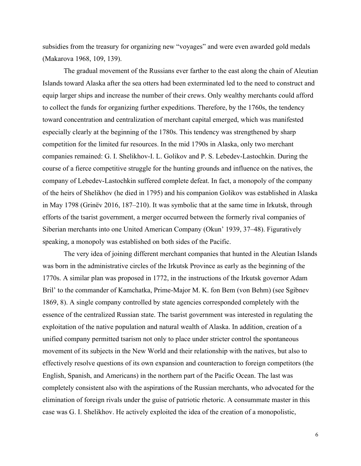subsidies from the treasury for organizing new "voyages" and were even awarded gold medals (Makarova 1968, 109, 139).

The gradual movement of the Russians ever farther to the east along the chain of Aleutian Islands toward Alaska after the sea otters had been exterminated led to the need to construct and equip larger ships and increase the number of their crews. Only wealthy merchants could afford to collect the funds for organizing further expeditions. Therefore, by the 1760s, the tendency toward concentration and centralization of merchant capital emerged, which was manifested especially clearly at the beginning of the 1780s. This tendency was strengthened by sharp competition for the limited fur resources. In the mid 1790s in Alaska, only two merchant companies remained: G. I. Shelikhov-I. L. Golikov and P. S. Lebedev-Lastochkin. During the course of a fierce competitive struggle for the hunting grounds and influence on the natives, the company of Lebedev-Lastochkin suffered complete defeat. In fact, a monopoly of the company of the heirs of Shelikhov (he died in 1795) and his companion Golikov was established in Alaska in May 1798 (Grinëv 2016, 187–210). It was symbolic that at the same time in Irkutsk, through efforts of the tsarist government, a merger occurred between the formerly rival companies of Siberian merchants into one United American Company (Okun' 1939, 37–48). Figuratively speaking, a monopoly was established on both sides of the Pacific.

The very idea of joining different merchant companies that hunted in the Aleutian Islands was born in the administrative circles of the Irkutsk Province as early as the beginning of the 1770s. A similar plan was proposed in 1772, in the instructions of the Irkutsk governor Adam Bril' to the commander of Kamchatka, Prime-Major M. K. fon Bem (von Behm) (see Sgibnev 1869, 8). A single company controlled by state agencies corresponded completely with the essence of the centralized Russian state. The tsarist government was interested in regulating the exploitation of the native population and natural wealth of Alaska. In addition, creation of a unified company permitted tsarism not only to place under stricter control the spontaneous movement of its subjects in the New World and their relationship with the natives, but also to effectively resolve questions of its own expansion and counteraction to foreign competitors (the English, Spanish, and Americans) in the northern part of the Pacific Ocean. The last was completely consistent also with the aspirations of the Russian merchants, who advocated for the elimination of foreign rivals under the guise of patriotic rhetoric. A consummate master in this case was G. I. Shelikhov. He actively exploited the idea of the creation of a monopolistic,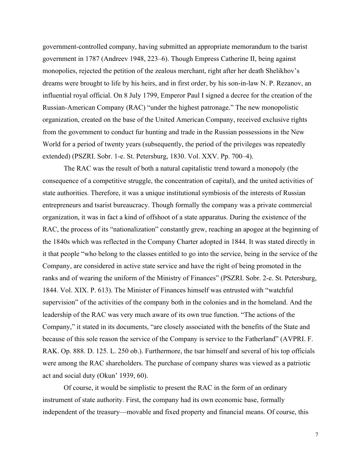government-controlled company, having submitted an appropriate memorandum to the tsarist government in 1787 (Andreev 1948, 223–6). Though Empress Catherine II, being against monopolies, rejected the petition of the zealous merchant, right after her death Shelikhov's dreams were brought to life by his heirs, and in first order, by his son-in-law N. P. Rezanov, an influential royal official. On 8 July 1799, Emperor Paul I signed a decree for the creation of the Russian-American Company (RAC) "under the highest patronage." The new monopolistic organization, created on the base of the United American Company, received exclusive rights from the government to conduct fur hunting and trade in the Russian possessions in the New World for a period of twenty years (subsequently, the period of the privileges was repeatedly extended) (PSZRI. Sobr. 1-e. St. Petersburg, 1830. Vol. XXV. Pp. 700–4).

The RAC was the result of both a natural capitalistic trend toward a monopoly (the consequence of a competitive struggle, the concentration of capital), and the united activities of state authorities. Therefore, it was a unique institutional symbiosis of the interests of Russian entrepreneurs and tsarist bureaucracy. Though formally the company was a private commercial organization, it was in fact a kind of offshoot of a state apparatus. During the existence of the RAC, the process of its "nationalization" constantly grew, reaching an apogee at the beginning of the 1840s which was reflected in the Company Charter adopted in 1844. It was stated directly in it that people "who belong to the classes entitled to go into the service, being in the service of the Company, are considered in active state service and have the right of being promoted in the ranks and of wearing the uniform of the Ministry of Finances" (PSZRI. Sobr. 2-e. St. Petersburg, 1844. Vol. XIX. P. 613). The Minister of Finances himself was entrusted with "watchful supervision" of the activities of the company both in the colonies and in the homeland. And the leadership of the RAC was very much aware of its own true function. "The actions of the Company," it stated in its documents, "are closely associated with the benefits of the State and because of this sole reason the service of the Company is service to the Fatherland" (AVPRI. F. RAK. Op. 888. D. 125. L. 250 ob.). Furthermore, the tsar himself and several of his top officials were among the RAC shareholders. The purchase of company shares was viewed as a patriotic act and social duty (Okun' 1939, 60).

Of course, it would be simplistic to present the RAC in the form of an ordinary instrument of state authority. First, the company had its own economic base, formally independent of the treasury—movable and fixed property and financial means. Of course, this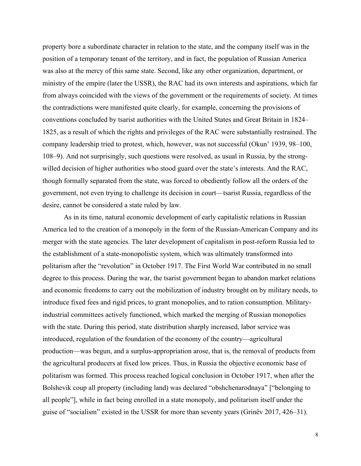property bore a subordinate character in relation to the state, and the company itself was in the position of a temporary tenant of the territory, and in fact, the population of Russian America was also at the mercy of this same state. Second, like any other organization, department, or ministry of the empire (later the USSR), the RAC had its own interests and aspirations, which far from always coincided with the views of the government or the requirements of society. At times the contradictions were manifested quite clearly, for example, concerning the provisions of conventions concluded by tsarist authorities with the United States and Great Britain in 1824– 1825, as a result of which the rights and privileges of the RAC were substantially restrained. The company leadership tried to protest, which, however, was not successful (Okun' 1939, 98–100, 108–9). And not surprisingly, such questions were resolved, as usual in Russia, by the strongwilled decision of higher authorities who stood guard over the state's interests. And the RAC, though formally separated from the state, was forced to obediently follow all the orders of the government, not even trying to challenge its decision in court—tsarist Russia, regardless of the desire, cannot be considered a state ruled by law.

As in its time, natural economic development of early capitalistic relations in Russian America led to the creation of a monopoly in the form of the Russian-American Company and its merger with the state agencies. The later development of capitalism in post-reform Russia led to the establishment of a state-monopolistic system, which was ultimately transformed into politarism after the "revolution" in October 1917. The First World War contributed in no small degree to this process. During the war, the tsarist government began to abandon market relations and economic freedoms to carry out the mobilization of industry brought on by military needs, to introduce fixed fees and rigid prices, to grant monopolies, and to ration consumption. Militaryindustrial committees actively functioned, which marked the merging of Russian monopolies with the state. During this period, state distribution sharply increased, labor service was introduced, regulation of the foundation of the economy of the country—agricultural production—was begun, and a surplus-appropriation arose, that is, the removal of products from the agricultural producers at fixed low prices. Thus, in Russia the objective economic base of politarism was formed. This process reached logical conclusion in October 1917, when after the Bolshevik coup all property (including land) was declared "obshchenarodnaya" ["belonging to all people"], while in fact being enrolled in a state monopoly, and politarism itself under the guise of "socialism" existed in the USSR for more than seventy years (Grinëv 2017, 426–31).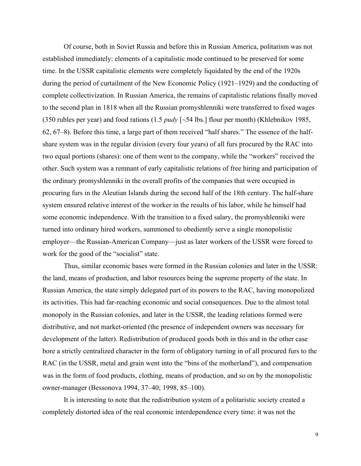Of course, both in Soviet Russia and before this in Russian America, politarism was not established immediately: elements of a capitalistic mode continued to be preserved for some time. In the USSR capitalistic elements were completely liquidated by the end of the 1920s during the period of curtailment of the New Economic Policy (1921–1929) and the conducting of complete collectivization. In Russian America, the remains of capitalistic relations finally moved to the second plan in 1818 when all the Russian promyshlenniki were transferred to fixed wages (350 rubles per year) and food rations (1.5 *pudy* [~54 lbs.] flour per month) (Khlebnikov 1985, 62, 67–8). Before this time, a large part of them received "half shares." The essence of the halfshare system was in the regular division (every four years) of all furs procured by the RAC into two equal portions (shares): one of them went to the company, while the "workers" received the other. Such system was a remnant of early capitalistic relations of free hiring and participation of the ordinary promyshlenniki in the overall profits of the companies that were occupied in procuring furs in the Aleutian Islands during the second half of the 18th century. The half-share system ensured relative interest of the worker in the results of his labor, while he himself had some economic independence. With the transition to a fixed salary, the promyshlenniki were turned into ordinary hired workers, summoned to obediently serve a single monopolistic employer—the Russian-American Company—just as later workers of the USSR were forced to work for the good of the "socialist" state.

Thus, similar economic bases were formed in the Russian colonies and later in the USSR: the land, means of production, and labor resources being the supreme property of the state. In Russian America, the state simply delegated part of its powers to the RAC, having monopolized its activities. This had far-reaching economic and social consequences. Due to the almost total monopoly in the Russian colonies, and later in the USSR, the leading relations formed were distributive, and not market-oriented (the presence of independent owners was necessary for development of the latter). Redistribution of produced goods both in this and in the other case bore a strictly centralized character in the form of obligatory turning in of all procured furs to the RAC (in the USSR, metal and grain went into the "bins of the motherland"), and compensation was in the form of food products, clothing, means of production, and so on by the monopolistic owner-manager (Bessonova 1994, 37–40; 1998, 85–100).

It is interesting to note that the redistribution system of a politaristic society created a completely distorted idea of the real economic interdependence every time: it was not the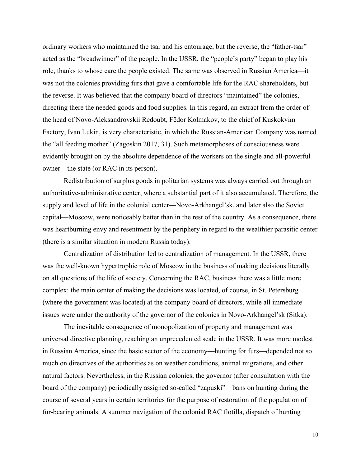ordinary workers who maintained the tsar and his entourage, but the reverse, the "father-tsar" acted as the "breadwinner" of the people. In the USSR, the "people's party" began to play his role, thanks to whose care the people existed. The same was observed in Russian America—it was not the colonies providing furs that gave a comfortable life for the RAC shareholders, but the reverse. It was believed that the company board of directors "maintained" the colonies, directing there the needed goods and food supplies. In this regard, an extract from the order of the head of Novo-Aleksandrovskii Redoubt, Fёdor Kolmakov, to the chief of Kuskokvim Factory, Ivan Lukin, is very characteristic, in which the Russian-American Company was named the "all feeding mother" (Zagoskin 2017, 31). Such metamorphoses of consciousness were evidently brought on by the absolute dependence of the workers on the single and all-powerful owner—the state (or RAC in its person).

Redistribution of surplus goods in politarian systems was always carried out through an authoritative-administrative center, where a substantial part of it also accumulated. Therefore, the supply and level of life in the colonial center—Novo-Arkhangel'sk, and later also the Soviet capital—Moscow, were noticeably better than in the rest of the country. As a consequence, there was heartburning envy and resentment by the periphery in regard to the wealthier parasitic center (there is a similar situation in modern Russia today).

Centralization of distribution led to centralization of management. In the USSR, there was the well-known hypertrophic role of Moscow in the business of making decisions literally on all questions of the life of society. Concerning the RAC, business there was a little more complex: the main center of making the decisions was located, of course, in St. Petersburg (where the government was located) at the company board of directors, while all immediate issues were under the authority of the governor of the colonies in Novo-Arkhangel'sk (Sitka).

The inevitable consequence of monopolization of property and management was universal directive planning, reaching an unprecedented scale in the USSR. It was more modest in Russian America, since the basic sector of the economy—hunting for furs—depended not so much on directives of the authorities as on weather conditions, animal migrations, and other natural factors. Nevertheless, in the Russian colonies, the governor (after consultation with the board of the company) periodically assigned so-called "zapuski"—bans on hunting during the course of several years in certain territories for the purpose of restoration of the population of fur-bearing animals. A summer navigation of the colonial RAC flotilla, dispatch of hunting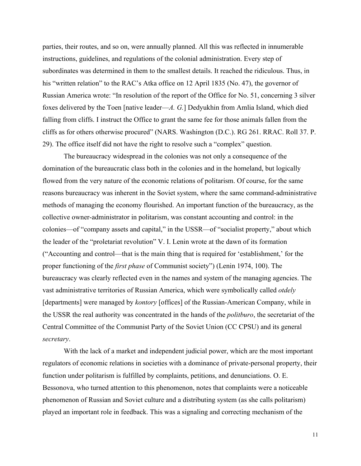parties, their routes, and so on, were annually planned. All this was reflected in innumerable instructions, guidelines, and regulations of the colonial administration. Every step of subordinates was determined in them to the smallest details. It reached the ridiculous. Thus, in his "written relation" to the RAC's Atka office on 12 April 1835 (No. 47), the governor of Russian America wrote: "In resolution of the report of the Office for No. 51, concerning 3 silver foxes delivered by the Toen [native leader—*A. G.*] Dedyukhin from Amlia Island, which died falling from cliffs. I instruct the Office to grant the same fee for those animals fallen from the cliffs as for others otherwise procured" (NARS. Washington (D.C.). RG 261. RRAC. Roll 37. P. 29). The office itself did not have the right to resolve such a "complex" question.

The bureaucracy widespread in the colonies was not only a consequence of the domination of the bureaucratic class both in the colonies and in the homeland, but logically flowed from the very nature of the economic relations of politarism. Of course, for the same reasons bureaucracy was inherent in the Soviet system, where the same command-administrative methods of managing the economy flourished. An important function of the bureaucracy, as the collective owner-administrator in politarism, was constant accounting and control: in the colonies—of "company assets and capital," in the USSR—of "socialist property," about which the leader of the "proletariat revolution" V. I. Lenin wrote at the dawn of its formation ("Accounting and control—that is the main thing that is required for 'establishment,' for the proper functioning of the *first phase* of Communist society") (Lenin 1974, 100). The bureaucracy was clearly reflected even in the names and system of the managing agencies. The vast administrative territories of Russian America, which were symbolically called *otdely* [departments] were managed by *kontory* [offices] of the Russian-American Company, while in the USSR the real authority was concentrated in the hands of the *politburo*, the secretariat of the Central Committee of the Communist Party of the Soviet Union (CC CPSU) and its general *secretary*.

With the lack of a market and independent judicial power, which are the most important regulators of economic relations in societies with a dominance of private-personal property, their function under politarism is fulfilled by complaints, petitions, and denunciations. O. E. Bessonova, who turned attention to this phenomenon, notes that complaints were a noticeable phenomenon of Russian and Soviet culture and a distributing system (as she calls politarism) played an important role in feedback. This was a signaling and correcting mechanism of the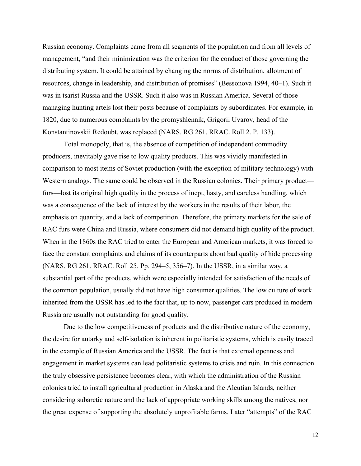Russian economy. Complaints came from all segments of the population and from all levels of management, "and their minimization was the criterion for the conduct of those governing the distributing system. It could be attained by changing the norms of distribution, allotment of resources, change in leadership, and distribution of promises" (Bessonova 1994, 40–1). Such it was in tsarist Russia and the USSR. Such it also was in Russian America. Several of those managing hunting artels lost their posts because of complaints by subordinates. For example, in 1820, due to numerous complaints by the promyshlennik, Grigorii Uvarov, head of the Konstantinovskii Redoubt, was replaced (NARS. RG 261. RRAC. Roll 2. P. 133).

Total monopoly, that is, the absence of competition of independent commodity producers, inevitably gave rise to low quality products. This was vividly manifested in comparison to most items of Soviet production (with the exception of military technology) with Western analogs. The same could be observed in the Russian colonies. Their primary product furs—lost its original high quality in the process of inept, hasty, and careless handling, which was a consequence of the lack of interest by the workers in the results of their labor, the emphasis on quantity, and a lack of competition. Therefore, the primary markets for the sale of RAC furs were China and Russia, where consumers did not demand high quality of the product. When in the 1860s the RAC tried to enter the European and American markets, it was forced to face the constant complaints and claims of its counterparts about bad quality of hide processing (NARS. RG 261. RRAC. Roll 25. Pp. 294–5, 356–7). In the USSR, in a similar way, a substantial part of the products, which were especially intended for satisfaction of the needs of the common population, usually did not have high consumer qualities. The low culture of work inherited from the USSR has led to the fact that, up to now, passenger cars produced in modern Russia are usually not outstanding for good quality.

Due to the low competitiveness of products and the distributive nature of the economy, the desire for autarky and self-isolation is inherent in politaristic systems, which is easily traced in the example of Russian America and the USSR. The fact is that external openness and engagement in market systems can lead politaristic systems to crisis and ruin. In this connection the truly obsessive persistence becomes clear, with which the administration of the Russian colonies tried to install agricultural production in Alaska and the Aleutian Islands, neither considering subarctic nature and the lack of appropriate working skills among the natives, nor the great expense of supporting the absolutely unprofitable farms. Later "attempts" of the RAC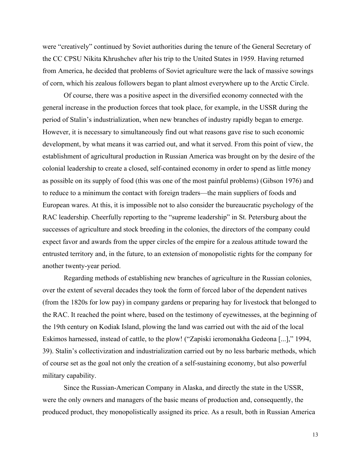were "creatively" continued by Soviet authorities during the tenure of the General Secretary of the CC CPSU Nikita Khrushchev after his trip to the United States in 1959. Having returned from America, he decided that problems of Soviet agriculture were the lack of massive sowings of corn, which his zealous followers began to plant almost everywhere up to the Arctic Circle.

Of course, there was a positive aspect in the diversified economy connected with the general increase in the production forces that took place, for example, in the USSR during the period of Stalin's industrialization, when new branches of industry rapidly began to emerge. However, it is necessary to simultaneously find out what reasons gave rise to such economic development, by what means it was carried out, and what it served. From this point of view, the establishment of agricultural production in Russian America was brought on by the desire of the colonial leadership to create a closed, self-contained economy in order to spend as little money as possible on its supply of food (this was one of the most painful problems) (Gibson 1976) and to reduce to a minimum the contact with foreign traders—the main suppliers of foods and European wares. At this, it is impossible not to also consider the bureaucratic psychology of the RAC leadership. Cheerfully reporting to the "supreme leadership" in St. Petersburg about the successes of agriculture and stock breeding in the colonies, the directors of the company could expect favor and awards from the upper circles of the empire for a zealous attitude toward the entrusted territory and, in the future, to an extension of monopolistic rights for the company for another twenty-year period.

Regarding methods of establishing new branches of agriculture in the Russian colonies, over the extent of several decades they took the form of forced labor of the dependent natives (from the 1820s for low pay) in company gardens or preparing hay for livestock that belonged to the RAC. It reached the point where, based on the testimony of eyewitnesses, at the beginning of the 19th century on Kodiak Island, plowing the land was carried out with the aid of the local Eskimos harnessed, instead of cattle, to the plow! ("Zapiski ieromonakha Gedeona [...]," 1994, 39). Stalin's collectivization and industrialization carried out by no less barbaric methods, which of course set as the goal not only the creation of a self-sustaining economy, but also powerful military capability.

Since the Russian-American Company in Alaska, and directly the state in the USSR, were the only owners and managers of the basic means of production and, consequently, the produced product, they monopolistically assigned its price. As a result, both in Russian America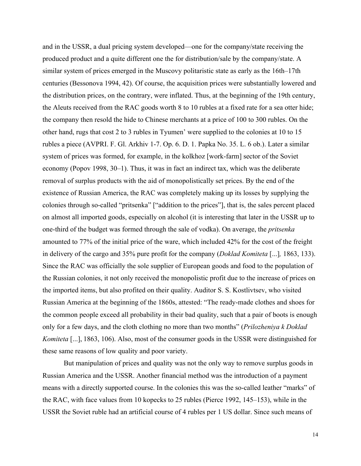and in the USSR, a dual pricing system developed—one for the company/state receiving the produced product and a quite different one the for distribution/sale by the company/state. A similar system of prices emerged in the Muscovy politaristic state as early as the 16th–17th centuries (Bessonova 1994, 42). Of course, the acquisition prices were substantially lowered and the distribution prices, on the contrary, were inflated. Thus, at the beginning of the 19th century, the Aleuts received from the RAC goods worth 8 to 10 rubles at a fixed rate for a sea otter hide; the company then resold the hide to Chinese merchants at a price of 100 to 300 rubles. On the other hand, rugs that cost 2 to 3 rubles in Tyumen' were supplied to the colonies at 10 to 15 rubles a piece (AVPRI. F. Gl. Arkhiv 1-7. Op. 6. D. 1. Papka No. 35. L. 6 ob.). Later a similar system of prices was formed, for example, in the kolkhoz [work-farm] sector of the Soviet economy (Popov 1998, 30–1). Thus, it was in fact an indirect tax, which was the deliberate removal of surplus products with the aid of monopolistically set prices. By the end of the existence of Russian America, the RAC was completely making up its losses by supplying the colonies through so-called "pritsenka" ["addition to the prices"], that is, the sales percent placed on almost all imported goods, especially on alcohol (it is interesting that later in the USSR up to one-third of the budget was formed through the sale of vodka). On average, the *pritsenka* amounted to 77% of the initial price of the ware, which included 42% for the cost of the freight in delivery of the cargo and 35% pure profit for the company (*Doklad Komiteta* [...]*,* 1863, 133). Since the RAC was officially the sole supplier of European goods and food to the population of the Russian colonies, it not only received the monopolistic profit due to the increase of prices on the imported items, but also profited on their quality. Auditor S. S. Kostlivtsev, who visited Russian America at the beginning of the 1860s, attested: "The ready-made clothes and shoes for the common people exceed all probability in their bad quality, such that a pair of boots is enough only for a few days, and the cloth clothing no more than two months" (*Prilozheniya k Doklad Komiteta* [...], 1863, 106). Also, most of the consumer goods in the USSR were distinguished for these same reasons of low quality and poor variety.

But manipulation of prices and quality was not the only way to remove surplus goods in Russian America and the USSR. Another financial method was the introduction of a payment means with a directly supported course. In the colonies this was the so-called leather "marks" of the RAC, with face values from 10 kopecks to 25 rubles (Pierce 1992, 145–153), while in the USSR the Soviet ruble had an artificial course of 4 rubles per 1 US dollar. Since such means of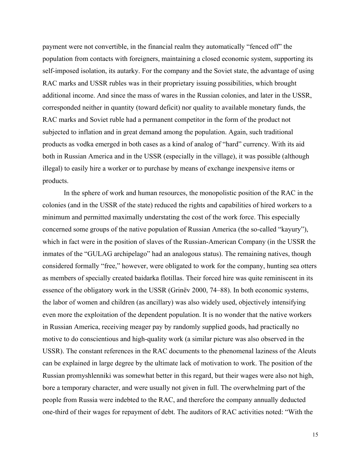payment were not convertible, in the financial realm they automatically "fenced off" the population from contacts with foreigners, maintaining a closed economic system, supporting its self-imposed isolation, its autarky. For the company and the Soviet state, the advantage of using RAC marks and USSR rubles was in their proprietary issuing possibilities, which brought additional income. And since the mass of wares in the Russian colonies, and later in the USSR, corresponded neither in quantity (toward deficit) nor quality to available monetary funds, the RAC marks and Soviet ruble had a permanent competitor in the form of the product not subjected to inflation and in great demand among the population. Again, such traditional products as vodka emerged in both cases as a kind of analog of "hard" currency. With its aid both in Russian America and in the USSR (especially in the village), it was possible (although illegal) to easily hire a worker or to purchase by means of exchange inexpensive items or products.

In the sphere of work and human resources, the monopolistic position of the RAC in the colonies (and in the USSR of the state) reduced the rights and capabilities of hired workers to a minimum and permitted maximally understating the cost of the work force. This especially concerned some groups of the native population of Russian America (the so-called "kayury"), which in fact were in the position of slaves of the Russian-American Company (in the USSR the inmates of the "GULAG archipelago" had an analogous status). The remaining natives, though considered formally "free," however, were obligated to work for the company, hunting sea otters as members of specially created baidarka flotillas. Their forced hire was quite reminiscent in its essence of the obligatory work in the USSR (Grinëv 2000, 74–88). In both economic systems, the labor of women and children (as ancillary) was also widely used, objectively intensifying even more the exploitation of the dependent population. It is no wonder that the native workers in Russian America, receiving meager pay by randomly supplied goods, had practically no motive to do conscientious and high-quality work (a similar picture was also observed in the USSR). The constant references in the RAC documents to the phenomenal laziness of the Aleuts can be explained in large degree by the ultimate lack of motivation to work. The position of the Russian promyshlenniki was somewhat better in this regard, but their wages were also not high, bore a temporary character, and were usually not given in full. The overwhelming part of the people from Russia were indebted to the RAC, and therefore the company annually deducted one-third of their wages for repayment of debt. The auditors of RAC activities noted: "With the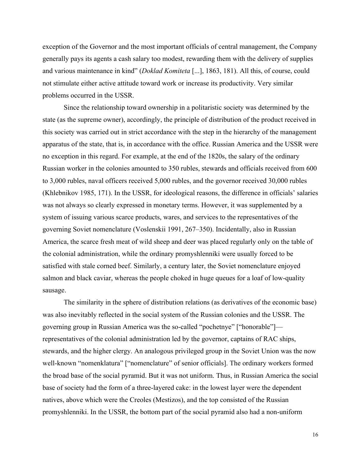exception of the Governor and the most important officials of central management, the Company generally pays its agents a cash salary too modest, rewarding them with the delivery of supplies and various maintenance in kind" (*Doklad Komiteta* [...], 1863, 181). All this, of course, could not stimulate either active attitude toward work or increase its productivity. Very similar problems occurred in the USSR.

Since the relationship toward ownership in a politaristic society was determined by the state (as the supreme owner), accordingly, the principle of distribution of the product received in this society was carried out in strict accordance with the step in the hierarchy of the management apparatus of the state, that is, in accordance with the office. Russian America and the USSR were no exception in this regard. For example, at the end of the 1820s, the salary of the ordinary Russian worker in the colonies amounted to 350 rubles, stewards and officials received from 600 to 3,000 rubles, naval officers received 5,000 rubles, and the governor received 30,000 rubles (Khlebnikov 1985, 171). In the USSR, for ideological reasons, the difference in officials' salaries was not always so clearly expressed in monetary terms. However, it was supplemented by a system of issuing various scarce products, wares, and services to the representatives of the governing Soviet nomenclature (Voslenskii 1991, 267–350). Incidentally, also in Russian America, the scarce fresh meat of wild sheep and deer was placed regularly only on the table of the colonial administration, while the ordinary promyshlenniki were usually forced to be satisfied with stale corned beef. Similarly, a century later, the Soviet nomenclature enjoyed salmon and black caviar, whereas the people choked in huge queues for a loaf of low-quality sausage.

The similarity in the sphere of distribution relations (as derivatives of the economic base) was also inevitably reflected in the social system of the Russian colonies and the USSR. The governing group in Russian America was the so-called "pochetnye" ["honorable"] representatives of the colonial administration led by the governor, captains of RAC ships, stewards, and the higher clergy. An analogous privileged group in the Soviet Union was the now well-known "nomenklatura" ["nomenclature" of senior officials]. The ordinary workers formed the broad base of the social pyramid. But it was not uniform. Thus, in Russian America the social base of society had the form of a three-layered cake: in the lowest layer were the dependent natives, above which were the Creoles (Mestizos), and the top consisted of the Russian promyshlenniki. In the USSR, the bottom part of the social pyramid also had a non-uniform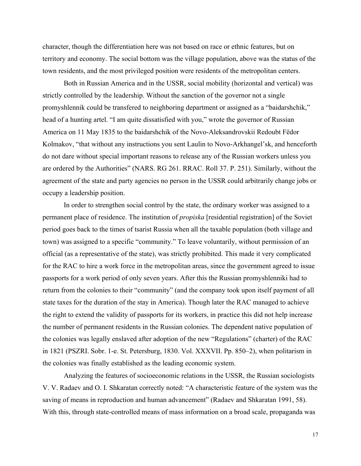character, though the differentiation here was not based on race or ethnic features, but on territory and economy. The social bottom was the village population, above was the status of the town residents, and the most privileged position were residents of the metropolitan centers.

Both in Russian America and in the USSR, social mobility (horizontal and vertical) was strictly controlled by the leadership. Without the sanction of the governor not a single promyshlennik could be transfered to neighboring department or assigned as a "baidarshchik," head of a hunting artel. "I am quite dissatisfied with you," wrote the governor of Russian America on 11 May 1835 to the baidarshchik of the Novo-Aleksandrovskii Redoubt Fëdor Kolmakov, "that without any instructions you sent Laulin to Novo-Arkhangel'sk, and henceforth do not dare without special important reasons to release any of the Russian workers unless you are ordered by the Authorities" (NARS. RG 261. RRAC. Roll 37. P. 251). Similarly, without the agreement of the state and party agencies no person in the USSR could arbitrarily change jobs or occupy a leadership position.

In order to strengthen social control by the state, the ordinary worker was assigned to a permanent place of residence. The institution of *propiska* [residential registration] of the Soviet period goes back to the times of tsarist Russia when all the taxable population (both village and town) was assigned to a specific "community." To leave voluntarily, without permission of an official (as a representative of the state), was strictly prohibited. This made it very complicated for the RAC to hire a work force in the metropolitan areas, since the government agreed to issue passports for a work period of only seven years. After this the Russian promyshlenniki had to return from the colonies to their "community" (and the company took upon itself payment of all state taxes for the duration of the stay in America). Though later the RAC managed to achieve the right to extend the validity of passports for its workers, in practice this did not help increase the number of permanent residents in the Russian colonies. The dependent native population of the colonies was legally enslaved after adoption of the new "Regulations" (charter) of the RAC in 1821 (PSZRI. Sobr. 1-e. St. Petersburg, 1830. Vol. XXXVII. Pp. 850–2), when politarism in the colonies was finally established as the leading economic system.

Analyzing the features of socioeconomic relations in the USSR, the Russian sociologists V. V. Radaev and O. I. Shkaratan correctly noted: "A characteristic feature of the system was the saving of means in reproduction and human advancement" (Radaev and Shkaratan 1991, 58). With this, through state-controlled means of mass information on a broad scale, propaganda was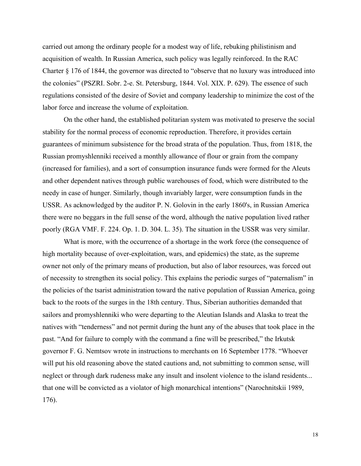carried out among the ordinary people for a modest way of life, rebuking philistinism and acquisition of wealth. In Russian America, such policy was legally reinforced. In the RAC Charter § 176 of 1844, the governor was directed to "observe that no luxury was introduced into the colonies" (PSZRI. Sobr. 2-e. St. Petersburg, 1844. Vol. XIX. P. 629). The essence of such regulations consisted of the desire of Soviet and company leadership to minimize the cost of the labor force and increase the volume of exploitation.

On the other hand, the established politarian system was motivated to preserve the social stability for the normal process of economic reproduction. Therefore, it provides certain guarantees of minimum subsistence for the broad strata of the population. Thus, from 1818, the Russian promyshlenniki received a monthly allowance of flour or grain from the company (increased for families), and a sort of consumption insurance funds were formed for the Aleuts and other dependent natives through public warehouses of food, which were distributed to the needy in case of hunger. Similarly, though invariably larger, were consumption funds in the USSR. As acknowledged by the auditor P. N. Golovin in the early 1860's, in Russian America there were no beggars in the full sense of the word, although the native population lived rather poorly (RGA VMF. F. 224. Op. 1. D. 304. L. 35). The situation in the USSR was very similar.

What is more, with the occurrence of a shortage in the work force (the consequence of high mortality because of over-exploitation, wars, and epidemics) the state, as the supreme owner not only of the primary means of production, but also of labor resources, was forced out of necessity to strengthen its social policy. This explains the periodic surges of "paternalism" in the policies of the tsarist administration toward the native population of Russian America, going back to the roots of the surges in the 18th century. Thus, Siberian authorities demanded that sailors and promyshlenniki who were departing to the Aleutian Islands and Alaska to treat the natives with "tenderness" and not permit during the hunt any of the abuses that took place in the past. "And for failure to comply with the command a fine will be prescribed," the Irkutsk governor F. G. Nemtsov wrote in instructions to merchants on 16 September 1778. "Whoever will put his old reasoning above the stated cautions and, not submitting to common sense, will neglect or through dark rudeness make any insult and insolent violence to the island residents... that one will be convicted as a violator of high monarchical intentions" (Narochnitskii 1989, 176).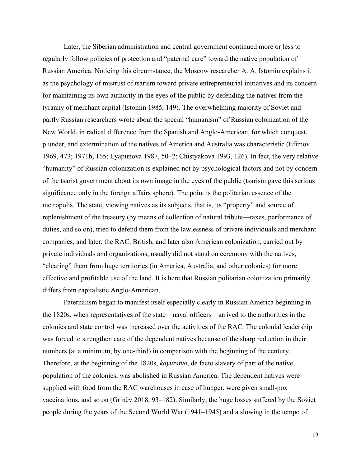Later, the Siberian administration and central government continued more or less to regularly follow policies of protection and "paternal care" toward the native population of Russian America. Noticing this circumstance, the Moscow researcher A. A. Istomin explains it as the psychology of mistrust of tsarism toward private entrepreneurial initiatives and its concern for maintaining its own authority in the eyes of the public by defending the natives from the tyranny of merchant capital (Istomin 1985, 149). The overwhelming majority of Soviet and partly Russian researchers wrote about the special "humanism" of Russian colonization of the New World, in radical difference from the Spanish and Anglo-American, for which conquest, plunder, and extermination of the natives of America and Australia was characteristic (Efimov 1969, 473; 1971b, 165; Lyapunova 1987, 50–2; Chistyakova 1993, 126). In fact, the very relative "humanity" of Russian colonization is explained not by psychological factors and not by concern of the tsarist government about its own image in the eyes of the public (tsarism gave this serious significance only in the foreign affairs sphere). The point is the politarian essence of the metropolis. The state, viewing natives as its subjects, that is, its "property" and source of replenishment of the treasury (by means of collection of natural tribute—taxes, performance of duties, and so on), tried to defend them from the lawlessness of private individuals and merchant companies, and later, the RAC. British, and later also American colonization, carried out by private individuals and organizations, usually did not stand on ceremony with the natives, "clearing" them from huge territories (in America, Australia, and other colonies) for more effective and profitable use of the land. It is here that Russian politarian colonization primarily differs from capitalistic Anglo-American.

Paternalism began to manifest itself especially clearly in Russian America beginning in the 1820s, when representatives of the state—naval officers—arrived to the authorities in the colonies and state control was increased over the activities of the RAC. The colonial leadership was forced to strengthen care of the dependent natives because of the sharp reduction in their numbers (at a minimum, by one-third) in comparison with the beginning of the century. Therefore, at the beginning of the 1820s, *kayurstvo*, de facto slavery of part of the native population of the colonies, was abolished in Russian America. The dependent natives were supplied with food from the RAC warehouses in case of hunger, were given small-pox vaccinations, and so on (Grinёv 2018, 93–182). Similarly, the huge losses suffered by the Soviet people during the years of the Second World War (1941–1945) and a slowing in the tempo of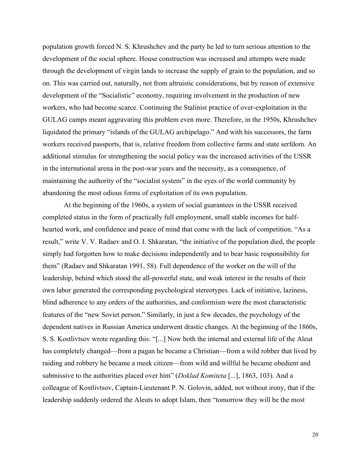population growth forced N. S. Khrushchev and the party he led to turn serious attention to the development of the social sphere. House construction was increased and attempts were made through the development of virgin lands to increase the supply of grain to the population, and so on. This was carried out, naturally, not from altruistic considerations, but by reason of extensive development of the "Socialistic" economy, requiring involvement in the production of new workers, who had become scarce. Continuing the Stalinist practice of over-exploitation in the GULAG camps meant aggravating this problem even more. Therefore, in the 1950s, Khrushchev liquidated the primary "islands of the GULAG archipelago." And with his successors, the farm workers received passports, that is, relative freedom from collective farms and state serfdom. An additional stimulus for strengthening the social policy was the increased activities of the USSR in the international arena in the post-war years and the necessity, as a consequence, of maintaining the authority of the "socialist system" in the eyes of the world community by abandoning the most odious forms of exploitation of its own population.

At the beginning of the 1960s, a system of social guarantees in the USSR received completed status in the form of practically full employment, small stable incomes for halfhearted work, and confidence and peace of mind that come with the lack of competition. "As a result," write V. V. Radaev and O. I. Shkaratan, "the initiative of the population died, the people simply had forgotten how to make decisions independently and to bear basic responsibility for them" (Radaev and Shkaratan 1991, 58). Full dependence of the worker on the will of the leadership, behind which stood the all-powerful state, and weak interest in the results of their own labor generated the corresponding psychological stereotypes. Lack of initiative, laziness, blind adherence to any orders of the authorities, and conformism were the most characteristic features of the "new Soviet person." Similarly, in just a few decades, the psychology of the dependent natives in Russian America underwent drastic changes. At the beginning of the 1860s, S. S. Kostlivtsov wrote regarding this: "[...] Now both the internal and external life of the Aleut has completely changed—from a pagan he became a Christian—from a wild robber that lived by raiding and robbery he became a meek citizen—from wild and willful he became obedient and submissive to the authorities placed over him" (*Doklad Komiteta* [...], 1863, 103). And a colleague of Kostlivtsov, Captain-Lieutenant P. N. Golovin, added, not without irony, that if the leadership suddenly ordered the Aleuts to adopt Islam, then "tomorrow they will be the most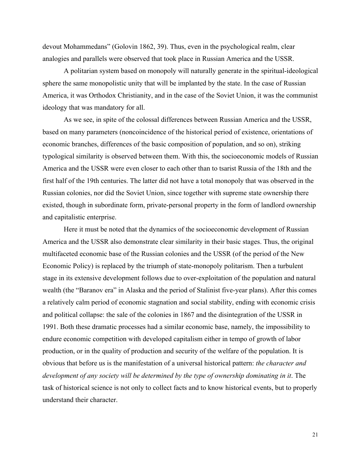devout Mohammedans" (Golovin 1862, 39). Thus, even in the psychological realm, clear analogies and parallels were observed that took place in Russian America and the USSR.

A politarian system based on monopoly will naturally generate in the spiritual-ideological sphere the same monopolistic unity that will be implanted by the state. In the case of Russian America, it was Orthodox Christianity, and in the case of the Soviet Union, it was the communist ideology that was mandatory for all.

As we see, in spite of the colossal differences between Russian America and the USSR, based on many parameters (noncoincidence of the historical period of existence, orientations of economic branches, differences of the basic composition of population, and so on), striking typological similarity is observed between them. With this, the socioeconomic models of Russian America and the USSR were even closer to each other than to tsarist Russia of the 18th and the first half of the 19th centuries. The latter did not have a total monopoly that was observed in the Russian colonies, nor did the Soviet Union, since together with supreme state ownership there existed, though in subordinate form, private-personal property in the form of landlord ownership and capitalistic enterprise.

Here it must be noted that the dynamics of the socioeconomic development of Russian America and the USSR also demonstrate clear similarity in their basic stages. Thus, the original multifaceted economic base of the Russian colonies and the USSR (of the period of the New Economic Policy) is replaced by the triumph of state-monopoly politarism. Then a turbulent stage in its extensive development follows due to over-exploitation of the population and natural wealth (the "Baranov era" in Alaska and the period of Stalinist five-year plans). After this comes a relatively calm period of economic stagnation and social stability, ending with economic crisis and political collapse: the sale of the colonies in 1867 and the disintegration of the USSR in 1991. Both these dramatic processes had a similar economic base, namely, the impossibility to endure economic competition with developed capitalism either in tempo of growth of labor production, or in the quality of production and security of the welfare of the population. It is obvious that before us is the manifestation of a universal historical pattern: *the character and development of any society will be determined by the type of ownership dominating in it*. The task of historical science is not only to collect facts and to know historical events, but to properly understand their character.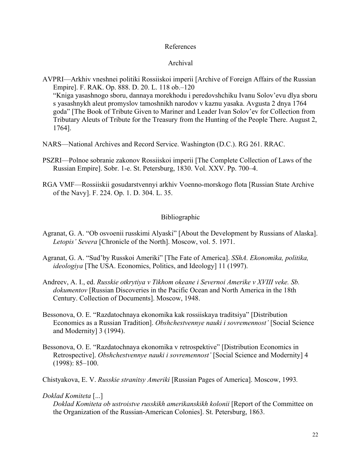# References

### Archival

AVPRI—Arkhiv vneshnei politiki Rossiiskoi imperii [Archive of Foreign Affairs of the Russian Empire]. F. RAK. Op. 888. D. 20. L. 118 ob.–120 "Kniga yasashnogo sboru, dannaya morekhodu i peredovshchiku Ivanu Solov'evu dlya sboru s yasashnykh aleut promyslov tamoshnikh narodov v kaznu yasaka. Avgusta 2 dnya 1764 goda" [The Book of Tribute Given to Mariner and Leader Ivan Solov'ev for Collection from Tributary Aleuts of Tribute for the Treasury from the Hunting of the People There. August 2, 1764].

- NARS—National Archives and Record Service. Washington (D.C.). RG 261. RRAC.
- PSZRI—Polnoe sobranie zakonov Rossiiskoi imperii [The Complete Collection of Laws of the Russian Empire]. Sobr. 1-e. St. Petersburg, 1830. Vol. XXV. Pp. 700–4.
- RGA VMF—Rossiiskii gosudarstvennyi arkhiv Voenno-morskogo flota [Russian State Archive of the Navy]. F. 224. Op. 1. D. 304. L. 35.

# Bibliographic

- Agranat, G. A. "Ob osvoenii russkimi Alyaski" [About the Development by Russians of Alaska]. *Letopis' Severa* [Chronicle of the North]. Moscow, vol. 5. 1971.
- Agranat, G. A. "Sud'by Russkoi Ameriki" [The Fate of America]. *SShA. Ekonomika, politika, ideologiya* [The USA. Economics, Politics, and Ideology] 11 (1997).
- Andreev, A. I., ed. *Russkie otkrytiya v Tikhom okeane i Severnoi Amerike v XVIII veke. Sb. dokumentov* [Russian Discoveries in the Pacific Ocean and North America in the 18th Century. Collection of Documents]. Moscow, 1948.
- Bessonova, O. E. "Razdatochnaya ekonomika kak rossiiskaya traditsiya" [Distribution Economics as a Russian Tradition]. *Obshchestvennye nauki i sovremennost'* [Social Science and Modernity] 3 (1994).
- Bessonova, O. E. "Razdatochnaya ekonomika v retrospektive" [Distribution Economics in Retrospective]. *Obshchestvennye nauki i sovremennost'* [Social Science and Modernity] 4 (1998): 85–100.

Chistyakova, E. V. *Russkie stranitsy Ameriki* [Russian Pages of America]. Moscow, 1993*.* 

#### *Doklad Komiteta* [...]

*Doklad Komiteta ob ustroistve russkikh amerikanskikh kolonii* [Report of the Committee on the Organization of the Russian-American Colonies]. St. Petersburg, 1863.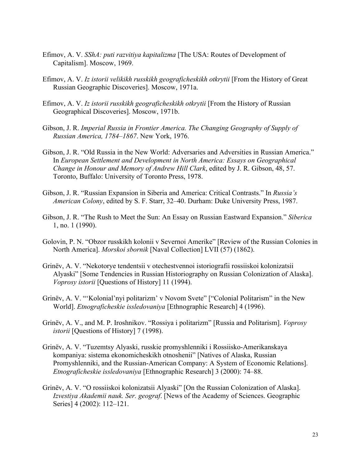- Efimov, A. V. *SShA: puti razvitiya kapitalizma* [The USA: Routes of Development of Capitalism]. Moscow, 1969.
- Efimov, A. V. *Iz istorii velikikh russkikh geograficheskikh otkrytii* [From the History of Great Russian Geographic Discoveries]. Moscow, 1971a.
- Efimov, A. V. *Iz istorii russkikh geograficheskikh otkrytii* [From the History of Russian Geographical Discoveries]. Moscow, 1971b.
- Gibson, J. R. *Imperial Russia in Frontier America. The Changing Geography of Supply of Russian America, 1784–1867*. New York, 1976.
- Gibson, J. R. "Old Russia in the New World: Adversaries and Adversities in Russian America." In *European Settlement and Development in North America: Essays on Geographical Change in Honour and Memory of Andrew Hill Clark*, edited by J. R. Gibson, 48, 57. Toronto, Buffalo: University of Toronto Press, 1978.
- Gibson, J. R. "Russian Expansion in Siberia and America: Critical Contrasts." In *Russia's American Colony*, edited by S. F. Starr, 32–40. Durham: Duke University Press, 1987.
- Gibson, J. R. "The Rush to Meet the Sun: An Essay on Russian Eastward Expansion." *Siberica* 1, no. 1 (1990).
- Golovin, P. N. "Obzor russkikh kolonii v Severnoi Amerike" [Review of the Russian Colonies in North America]. *Morskoi sbornik* [Naval Collection] LVII (57) (1862).
- Grinëv, A. V. "Nekotorye tendentsii v otechestvennoi istoriografii rossiiskoi kolonizatsii Alyaski" [Some Tendencies in Russian Historiography on Russian Colonization of Alaska]. *Voprosy istorii* [Questions of History] 11 (1994).
- Grinëv, A. V. "'Kolonial'nyi politarizm' v Novom Svete" ["Colonial Politarism" in the New World]. *Etnograficheskie issledovaniya* [Ethnographic Research] 4 (1996).
- Grinëv, A. V., and M. P. Iroshnikov. "Rossiya i politarizm" [Russia and Politarism]. *Voprosy istorii* [Questions of History] 7 (1998).
- Grinëv, A. V. "Tuzemtsy Alyaski, russkie promyshlenniki i Rossiisko-Amerikanskaya kompaniya: sistema ekonomicheskikh otnoshenii" [Natives of Alaska, Russian Promyshlenniki, and the Russian-American Company: A System of Economic Relations]. *Etnograficheskie issledovaniya* [Ethnographic Research] 3 (2000): 74–88.
- Grinëv, A. V. "O rossiiskoi kolonizatsii Alyaski" [On the Russian Colonization of Alaska]. *Izvestiya Akademii nauk. Ser. geograf*. [News of the Academy of Sciences. Geographic Series] 4 (2002): 112–121.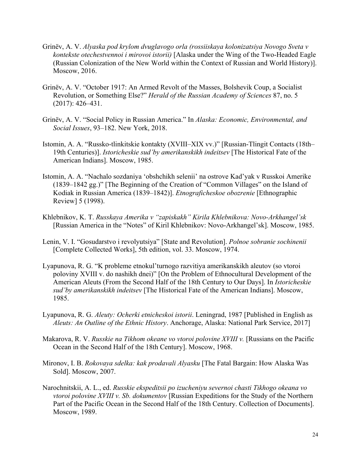- Grinëv, A. V. *Alyaska pod krylom dvuglavogo orla (rossiiskaya kolonizatsiya Novogo Sveta v kontekste otechestvennoi i mirovoi istorii)* [Alaska under the Wing of the Two-Headed Eagle (Russian Colonization of the New World within the Context of Russian and World History)]. Moscow, 2016.
- Grinëv, A. V. "October 1917: An Armed Revolt of the Masses, Bolshevik Coup, a Socialist Revolution, or Something Else?" *Herald of the Russian Academy of Sciences* 87, no. 5 (2017): 426–431.
- Grinёv, A. V. "Social Policy in Russian America." In *Alaska: Economic, Environmental, and Social Issues*, 93–182. New York, 2018.
- Istomin, A. A. "Russko-tlinkitskie kontakty (XVIII–XIX vv.)" [Russian-Tlingit Contacts (18th– 19th Centuries)]. *Istoricheskie sud'by amerikanskikh indeitsev* [The Historical Fate of the American Indians]. Moscow, 1985.
- Istomin, A. A. "Nachalo sozdaniya 'obshchikh selenii' na ostrove Kad'yak v Russkoi Amerike (1839–1842 gg.)" [The Beginning of the Creation of "Common Villages" on the Island of Kodiak in Russian America (1839–1842)]. *Etnograficheskoe obozrenie* [Ethnographic Review] 5 (1998).
- Khlebnikov, K. T. *Russkaya Amerika v "zapiskakh" Kirila Khlebnikova: Novo-Arkhangel'sk* [Russian America in the "Notes" of Kiril Khlebnikov: Novo-Arkhangel'sk]. Moscow, 1985.
- Lenin, V. I. "Gosudarstvo i revolyutsiya" [State and Revolution]. *Polnoe sobranie sochinenii*  [Complete Collected Works], 5th edition, vol. 33. Moscow, 1974.
- Lyapunova, R. G. "K probleme etnokul'turnogo razvitiya amerikanskikh aleutov (so vtoroi poloviny XVIII v. do nashikh dnei)" [On the Problem of Ethnocultural Development of the American Aleuts (From the Second Half of the 18th Century to Our Days]. In *Istoricheskie sud'by amerikanskikh indeitsev* [The Historical Fate of the American Indians]. Moscow, 1985.
- Lyapunova, R. G. *Aleuty: Ocherki etnicheskoi istorii*. Leningrad, 1987 [Published in English as *Aleuts: An Outline of the Ethnic History*. Anchorage, Alaska: National Park Service, 2017]
- Makarova, R. V. *Russkie na Tikhom okeane vo vtoroi polovine XVIII v.* [Russians on the Pacific Ocean in the Second Half of the 18th Century]. Moscow, 1968.
- Mironov, I. B. *Rokovaya sdelka: kak prodavali Alyasku* [The Fatal Bargain: How Alaska Was Sold]. Moscow, 2007.
- Narochnitskii, A. L., ed. *Russkie ekspeditsii po izucheniyu severnoi chasti Tikhogo okeana vo vtoroi polovine XVIII v. Sb. dokumentov* [Russian Expeditions for the Study of the Northern Part of the Pacific Ocean in the Second Half of the 18th Century. Collection of Documents]. Moscow, 1989.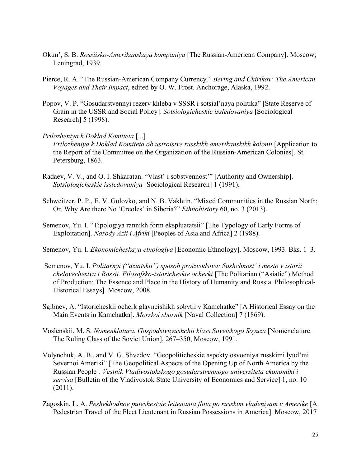- Okun', S. B. *Rossiisko-Amerikanskaya kompaniya* [The Russian-American Company]. Moscow; Leningrad, 1939.
- Pierce, R. A. "The Russian-American Company Currency." *Bering and Chirikov: The American Voyages and Their Impact*, edited by O. W. Frost. Anchorage, Alaska, 1992.
- Popov, V. P. "Gosudarstvennyi rezerv khleba v SSSR i sotsial'naya politika" [State Reserve of Grain in the USSR and Social Policy]. *Sotsiologicheskie issledovaniya* [Sociological Research] 5 (1998).

#### *Prilozheniya k Doklad Komiteta* [...]

*Prilozheniya k Doklad Komiteta ob ustroistve russkikh amerikanskikh kolonii* [Application to the Report of the Committee on the Organization of the Russian-American Colonies]. St. Petersburg, 1863.

- Radaev, V. V., and O. I. Shkaratan. "Vlast' i sobstvennost'" [Authority and Ownership]. *Sotsiologicheskie issledovaniya* [Sociological Research] 1 (1991).
- Schweitzer, P. P., E. V. Golovko, and N. B. Vakhtin. "Mixed Communities in the Russian North; Or, Why Are there No 'Creoles' in Siberia?" *Ethnohistory* 60, no. 3 (2013).
- Semenov, Yu. I. "Tipologiya rannikh form ekspluatatsii" [The Typology of Early Forms of Exploitation]. *Narody Azii i Afriki* [Peoples of Asia and Africa] 2 (1988).
- Semenov, Yu. I. *Ekonomicheskaya etnologiya* [Economic Ethnology]. Moscow, 1993. Bks. 1–3.
- Semenov, Yu. I. *Politarnyi ("aziatskii") sposob proizvodstva: Sushchnost' i mesto v istorii chelovechestva i Rossii. Filosofsko-istoricheskie ocherki* [The Politarian ("Asiatic") Method of Production: The Essence and Place in the History of Humanity and Russia. Philosophical-Historical Essays]. Moscow, 2008.
- Sgibnev, A. "Istoricheskii ocherk glavneishikh sobytii v Kamchatke" [A Historical Essay on the Main Events in Kamchatka]. *Morskoi sbornik* [Naval Collection] 7 (1869).
- Voslenskii, M. S. *Nomenklatura. Gospodstvuyushchii klass Sovetskogo Soyuza* [Nomenclature. The Ruling Class of the Soviet Union], 267–350, Moscow, 1991.
- Volynchuk, A. B., and V. G. Shvedov. "Geopoliticheskie aspekty osvoeniya russkimi lyud'mi Severnoi Ameriki" [The Geopolitical Aspects of the Opening Up of North America by the Russian People]. *Vestnik Vladivostokskogo gosudarstvennogo universiteta ekonomiki i servisa* [Bulletin of the Vladivostok State University of Economics and Service] 1, no. 10 (2011).
- Zagoskin, L. A. *Peshekhodnoe puteshestvie leitenanta flota po russkim vladeniyam v Amerike* [A Pedestrian Travel of the Fleet Lieutenant in Russian Possessions in America]. Moscow, 2017